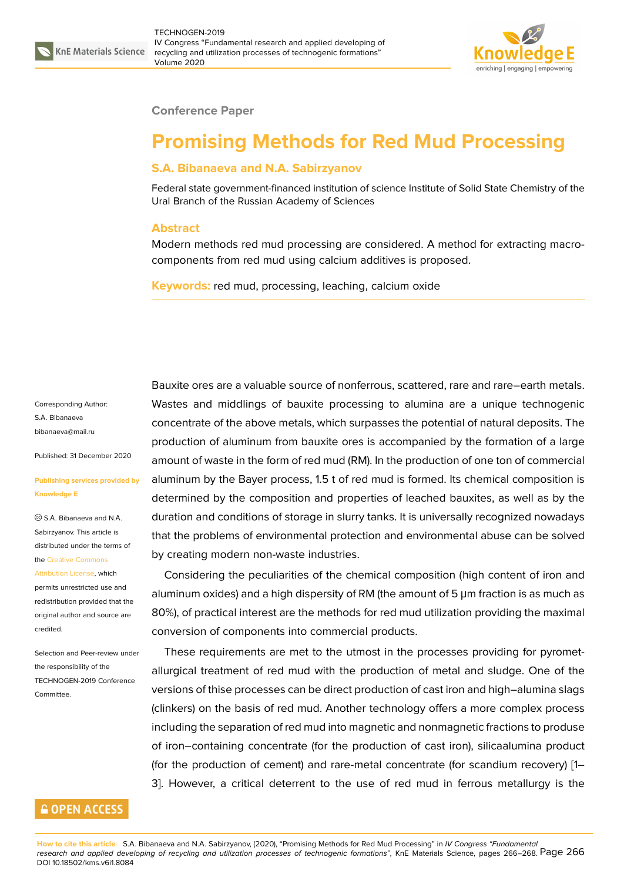

#### **Conference Paper**

# **Promising Methods for Red Mud Processing**

### **S.A. Bibanaeva and N.A. Sabirzyanov**

Federal state government-financed institution of science Institute of Solid State Chemistry of the Ural Branch of the Russian Academy of Sciences

#### **Abstract**

Modern methods red mud processing are considered. A method for extracting macrocomponents from red mud using calcium additives is proposed.

**Keywords:** red mud, processing, leaching, calcium oxide

Corresponding Author: S.А. Bibanaeva bibanaeva@mail.ru

Published: 31 December 2020

#### **[Publishing service](mailto:bibanaeva@mail.ru)s provided by Knowledge E**

S.А. Bibanaeva and N.А. Sabirzyanov. This article is distributed under the terms of the Creative Commons

Attribution License, which permits unrestricted use and redistribution provided that the orig[inal author and sou](https://creativecommons.org/licenses/by/4.0/)rce are [credited.](https://creativecommons.org/licenses/by/4.0/)

Selection and Peer-review under the responsibility of the TECHNOGEN-2019 Conference Committee.

## **GOPEN ACCESS**

Bauxite ores are a valuable source of nonferrous, scattered, rare and rare–earth metals. Wastes and middlings of bauxite processing to alumina are a unique technogenic concentrate of the above metals, which surpasses the potential of natural deposits. The production of aluminum from bauxite ores is accompanied by the formation of a large amount of waste in the form of red mud (RM). In the production of one ton of commercial aluminum by the Bayer process, 1.5 t of red mud is formed. Its chemical composition is determined by the composition and properties of leached bauxites, as well as by the duration and conditions of storage in slurry tanks. It is universally recognized nowadays that the problems of environmental protection and environmental abuse can be solved by creating modern non-waste industries.

Considering the peculiarities of the chemical composition (high content of iron and aluminum oxides) and a high dispersity of RM (the amount of 5 μm fraction is as much as 80%), of practical interest are the methods for red mud utilization providing the maximal conversion of components into commercial products.

These requirements are met to the utmost in the processes providing for pyrometallurgical treatment of red mud with the production of metal and sludge. One of the versions of thise processes can be direct production of cast iron and high–alumina slags (clinkers) on the basis of red mud. Another technology offers a more complex process including the separation of red mud into magnetic and nonmagnetic fractions to produse of iron–containing concentrate (for the production of cast iron), silicaalumina product (for the production of cement) and rare-metal concentrate (for scandium recovery) [1– 3]. However, a critical deterrent to the use of red mud in ferrous metallurgy is the

**How to cite this article**: S.A. Bib[an](#page-2-0)aeva and N.A. Sabirzyanov, (2020), "Promising Methods for Red Mud Processing" in *IV Congress "Fundamental research and applied developing of recycling and utilization processes of technogenic formations"*, KnE Materials Science, pages 266–268. Page 266 DOI 10.18502/kms.v6i1.8084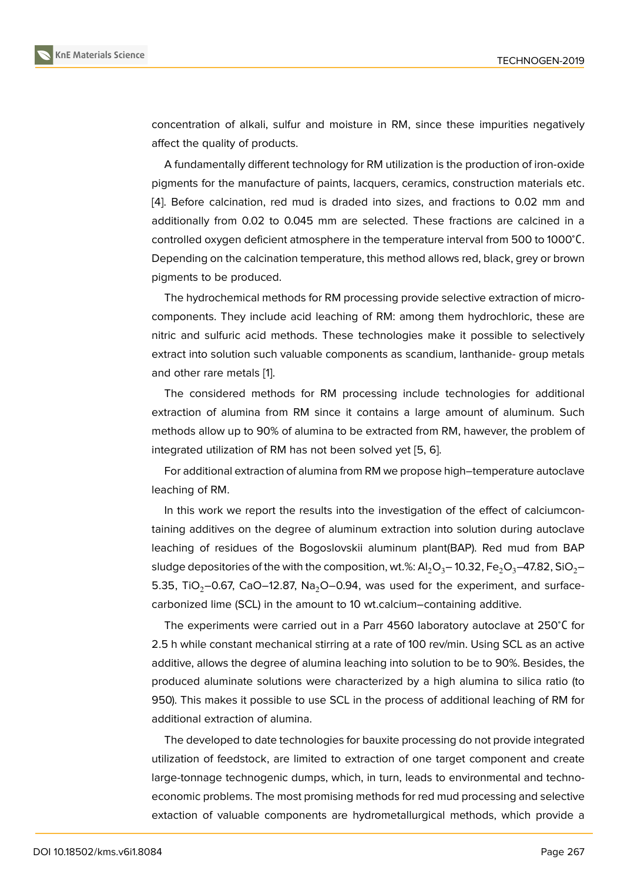concentration of alkali, sulfur and moisture in RM, since these impurities negatively affect the quality of products.

A fundamentally different technology for RM utilization is the production of iron-oxide pigments for the manufacture of paints, lacquers, ceramics, construction materials etc. [4]. Before calcination, red mud is draded into sizes, and fractions to 0.02 mm and additionally from 0.02 to 0.045 mm are selected. These fractions are calcined in a controlled oxygen deficient atmosphere in the temperature interval from 500 to 1000<sup>∘</sup>С. [De](#page-2-1)pending on the calcination temperature, this method allows red, black, grey or brown pigments to be produced.

The hydrochemical methods for RM processing provide selective extraction of microcomponents. They include acid leaching of RM: among them hydrochloric, these are nitric and sulfuric acid methods. These technologies make it possible to selectively extract into solution such valuable components as scandium, lanthanide- group metals and other rare metals [1].

The considered methods for RM processing include technologies for additional extraction of alumina from RM since it contains a large amount of aluminum. Such methods allow up to 9[0](#page-2-2)% of alumina to be extracted from RM, hawever, the problem of integrated utilization of RM has not been solved yet [5, 6].

For additional extraction of alumina from RM we propose high–temperature autoclave leaching of RM.

In this work we report the results into the investi[ga](#page-2-3)ti[on](#page-2-4) of the effect of calciumcontaining additives on the degree of aluminum extraction into solution during autoclave leaching of residues of the Bogoslovskii aluminum plant(BAP). Red mud from BAP sludge depositories of the with the composition, wt.%:  $Al_2O_3- 10.32$ , Fe<sub>2</sub>O<sub>3</sub>–47.82, SiO<sub>2</sub>– 5.35, TiO<sub>2</sub>–0.67, CaO–12.87, Na<sub>2</sub>O–0.94, was used for the experiment, and surfacecarbonized lime (SCL) in the amount to 10 wt.calcium–containing additive.

The experiments were carried out in a Parr 4560 laboratory autoclave at 250<sup>∘</sup>С for 2.5 h while constant mechanical stirring at a rate of 100 rev/min. Using SCL as an active additive, allows the degree of alumina leaching into solution to be to 90%. Besides, the produced aluminate solutions were characterized by a high alumina to silica ratio (to 950). This makes it possible to use SCL in the process of additional leaching of RM for additional extraction of alumina.

The developed to date technologies for bauxite processing do not provide integrated utilization of feedstock, are limited to extraction of one target component and create large-tonnage technogenic dumps, which, in turn, leads to environmental and technoeconomic problems. The most promising methods for red mud processing and selective extaction of valuable components are hydrometallurgical methods, which provide a